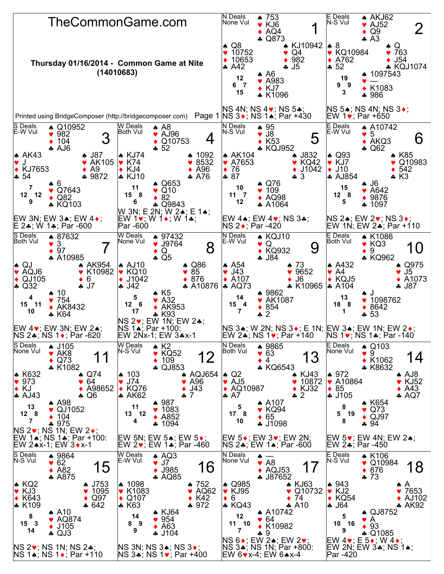